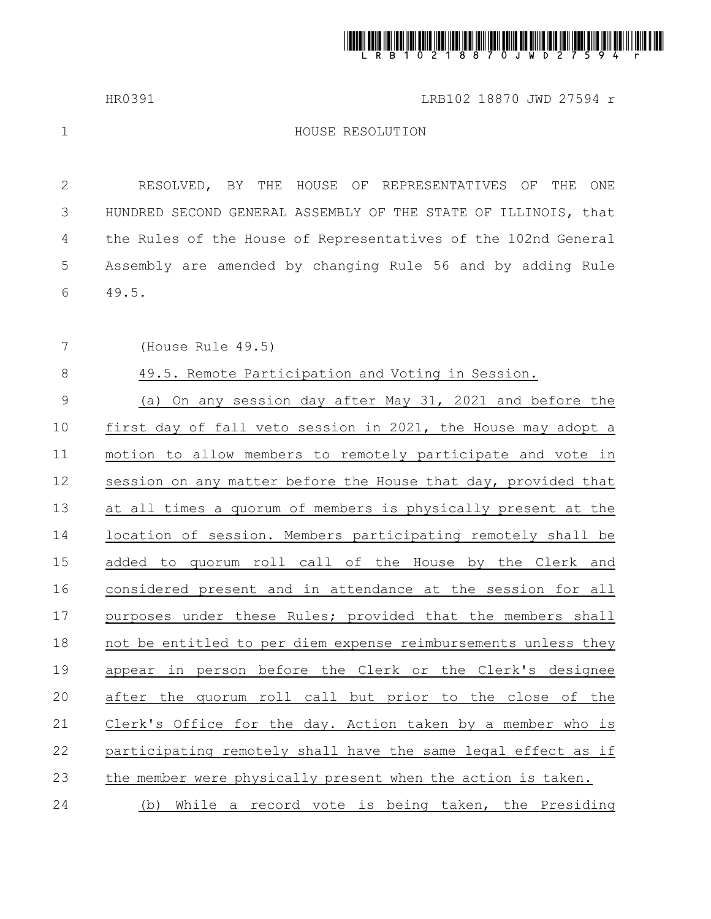

HR0391 LRB102 18870 JWD 27594 r

1

## HOUSE RESOLUTION

RESOLVED, BY THE HOUSE OF REPRESENTATIVES OF THE ONE HUNDRED SECOND GENERAL ASSEMBLY OF THE STATE OF ILLINOIS, that the Rules of the House of Representatives of the 102nd General Assembly are amended by changing Rule 56 and by adding Rule 49.5. 2 3 4 5 6

(House Rule 49.5) 7

49.5. Remote Participation and Voting in Session. 8

(a) On any session day after May 31, 2021 and before the first day of fall veto session in 2021, the House may adopt a motion to allow members to remotely participate and vote in session on any matter before the House that day, provided that at all times a quorum of members is physically present at the location of session. Members participating remotely shall be added to quorum roll call of the House by the Clerk and considered present and in attendance at the session for all purposes under these Rules; provided that the members shall not be entitled to per diem expense reimbursements unless they appear in person before the Clerk or the Clerk's designee after the quorum roll call but prior to the close of the Clerk's Office for the day. Action taken by a member who is participating remotely shall have the same legal effect as if the member were physically present when the action is taken. (b) While a record vote is being taken, the Presiding 9 10 11 12 13 14 15 16 17 18 19 20 21 22 23 24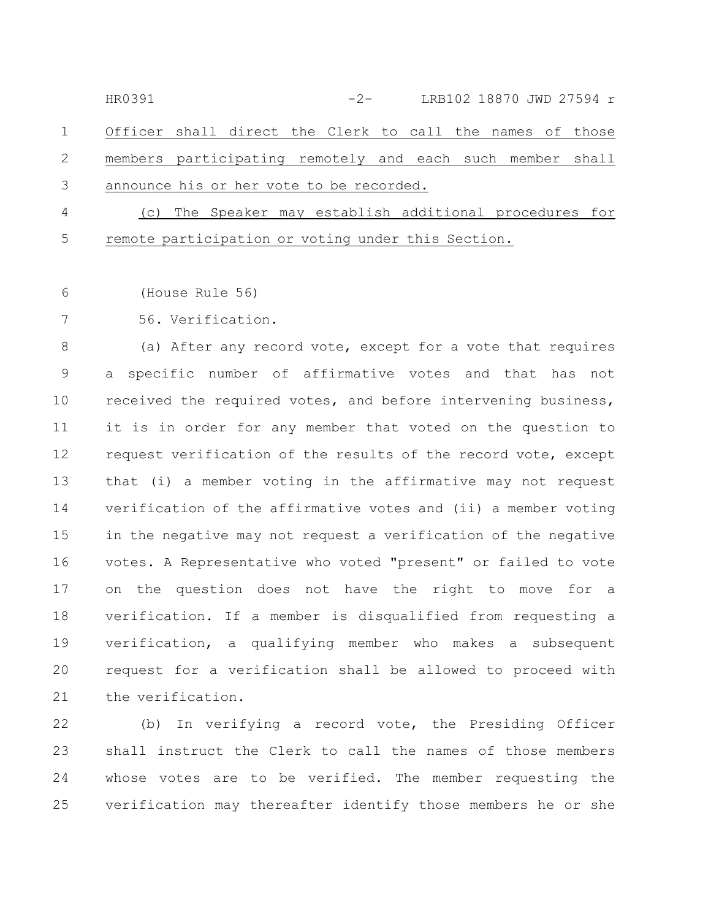Officer shall direct the Clerk to call the names of those members participating remotely and each such member shall announce his or her vote to be recorded. 1 2 3 HR0391 -2- LRB102 18870 JWD 27594 r

(c) The Speaker may establish additional procedures for remote participation or voting under this Section. 4 5

(House Rule 56) 6

56. Verification. 7

(a) After any record vote, except for a vote that requires a specific number of affirmative votes and that has not received the required votes, and before intervening business, it is in order for any member that voted on the question to request verification of the results of the record vote, except that (i) a member voting in the affirmative may not request verification of the affirmative votes and (ii) a member voting in the negative may not request a verification of the negative votes. A Representative who voted "present" or failed to vote on the question does not have the right to move for a verification. If a member is disqualified from requesting a verification, a qualifying member who makes a subsequent request for a verification shall be allowed to proceed with the verification. 8 9 10 11 12 13 14 15 16 17 18 19 20 21

(b) In verifying a record vote, the Presiding Officer shall instruct the Clerk to call the names of those members whose votes are to be verified. The member requesting the verification may thereafter identify those members he or she 22 23 24 25